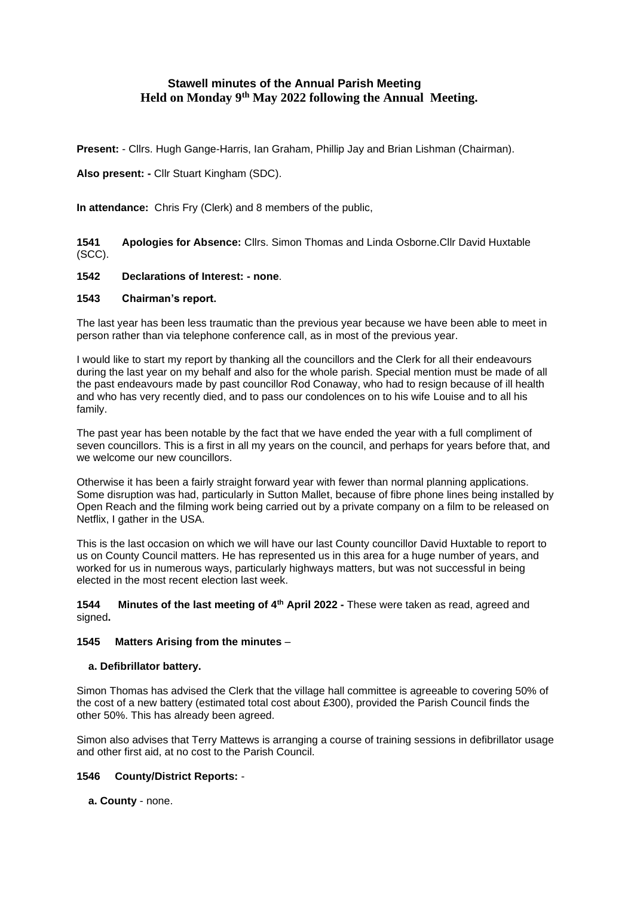# **Stawell minutes of the Annual Parish Meeting Held on Monday 9th May 2022 following the Annual Meeting.**

**Present:** - Cllrs. Hugh Gange-Harris, Ian Graham, Phillip Jay and Brian Lishman (Chairman).

**Also present: -** Cllr Stuart Kingham (SDC).

**In attendance:** Chris Fry (Clerk) and 8 members of the public,

**1541 Apologies for Absence:** Cllrs. Simon Thomas and Linda Osborne.Cllr David Huxtable (SCC).

# **1542 Declarations of Interest: - none**.

# **1543 Chairman's report.**

The last year has been less traumatic than the previous year because we have been able to meet in person rather than via telephone conference call, as in most of the previous year.

I would like to start my report by thanking all the councillors and the Clerk for all their endeavours during the last year on my behalf and also for the whole parish. Special mention must be made of all the past endeavours made by past councillor Rod Conaway, who had to resign because of ill health and who has very recently died, and to pass our condolences on to his wife Louise and to all his family.

The past year has been notable by the fact that we have ended the year with a full compliment of seven councillors. This is a first in all my years on the council, and perhaps for years before that, and we welcome our new councillors.

Otherwise it has been a fairly straight forward year with fewer than normal planning applications. Some disruption was had, particularly in Sutton Mallet, because of fibre phone lines being installed by Open Reach and the filming work being carried out by a private company on a film to be released on Netflix, I gather in the USA.

This is the last occasion on which we will have our last County councillor David Huxtable to report to us on County Council matters. He has represented us in this area for a huge number of years, and worked for us in numerous ways, particularly highways matters, but was not successful in being elected in the most recent election last week.

**1544 Minutes of the last meeting of 4th April 2022 -** These were taken as read, agreed and signed**.**

# **1545 Matters Arising from the minutes** –

# **a. Defibrillator battery.**

Simon Thomas has advised the Clerk that the village hall committee is agreeable to covering 50% of the cost of a new battery (estimated total cost about £300), provided the Parish Council finds the other 50%. This has already been agreed.

Simon also advises that Terry Mattews is arranging a course of training sessions in defibrillator usage and other first aid, at no cost to the Parish Council.

# **1546 County/District Reports:** -

**a. County** - none.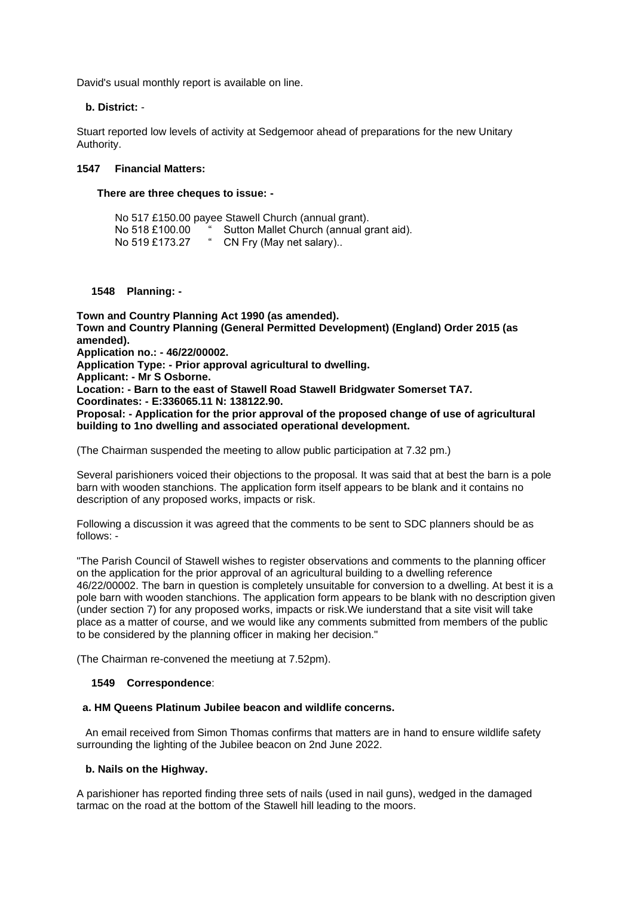David's usual monthly report is available on line.

# **b. District:** -

Stuart reported low levels of activity at Sedgemoor ahead of preparations for the new Unitary Authority.

# **1547 Financial Matters:**

# **There are three cheques to issue: -**

|  |                | No 517 £150.00 payee Stawell Church (annual grant). |
|--|----------------|-----------------------------------------------------|
|  | No 518 £100.00 | Sutton Mallet Church (annual grant aid).            |
|  | No 519 £173.27 | CN Fry (May net salary)                             |

**1548 Planning: -**

**Town and Country Planning Act 1990 (as amended). Town and Country Planning (General Permitted Development) (England) Order 2015 (as amended). Application no.: - 46/22/00002. Application Type: - Prior approval agricultural to dwelling. Applicant: - Mr S Osborne. Location: - Barn to the east of Stawell Road Stawell Bridgwater Somerset TA7. Coordinates: - E:336065.11 N: 138122.90. Proposal: - Application for the prior approval of the proposed change of use of agricultural building to 1no dwelling and associated operational development.**

(The Chairman suspended the meeting to allow public participation at 7.32 pm.)

Several parishioners voiced their objections to the proposal. It was said that at best the barn is a pole barn with wooden stanchions. The application form itself appears to be blank and it contains no description of any proposed works, impacts or risk.

Following a discussion it was agreed that the comments to be sent to SDC planners should be as follows: -

"The Parish Council of Stawell wishes to register observations and comments to the planning officer on the application for the prior approval of an agricultural building to a dwelling reference 46/22/00002. The barn in question is completely unsuitable for conversion to a dwelling. At best it is a pole barn with wooden stanchions. The application form appears to be blank with no description given (under section 7) for any proposed works, impacts or risk.We iunderstand that a site visit will take place as a matter of course, and we would like any comments submitted from members of the public to be considered by the planning officer in making her decision."

(The Chairman re-convened the meetiung at 7.52pm).

# **1549 Correspondence**:

# **a. HM Queens Platinum Jubilee beacon and wildlife concerns.**

 An email received from Simon Thomas confirms that matters are in hand to ensure wildlife safety surrounding the lighting of the Jubilee beacon on 2nd June 2022.

# **b. Nails on the Highway.**

A parishioner has reported finding three sets of nails (used in nail guns), wedged in the damaged tarmac on the road at the bottom of the Stawell hill leading to the moors.